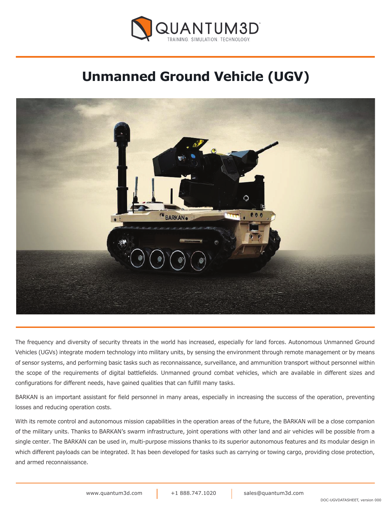

# **Unmanned Ground Vehicle (UGV)**



The frequency and diversity of security threats in the world has increased, especially for land forces. Autonomous Unmanned Ground Vehicles (UGVs) integrate modern technology into military units, by sensing the environment through remote management or by means of sensor systems, and performing basic tasks such as reconnaissance, surveillance, and ammunition transport without personnel within the scope of the requirements of digital battlefields. Unmanned ground combat vehicles, which are available in different sizes and configurations for different needs, have gained qualities that can fulfill many tasks.

BARKAN is an important assistant for field personnel in many areas, especially in increasing the success of the operation, preventing losses and reducing operation costs.

With its remote control and autonomous mission capabilities in the operation areas of the future, the BARKAN will be a close companion of the military units. Thanks to BARKAN's swarm infrastructure, joint operations with other land and air vehicles will be possible from a single center. The BARKAN can be used in, multi-purpose missions thanks to its superior autonomous features and its modular design in which different payloads can be integrated. It has been developed for tasks such as carrying or towing cargo, providing close protection, and armed reconnaissance.